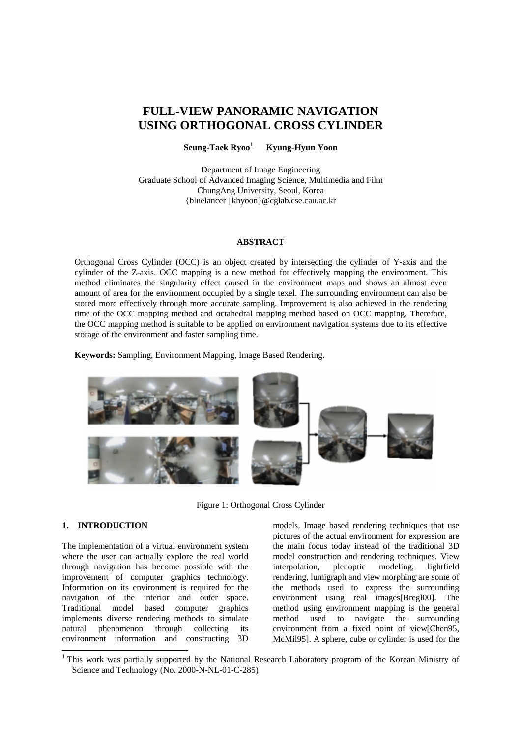# **FULL-VIEW PANORAMIC NAVIGATION USING ORTHOGONAL CROSS CYLINDER**

**Seung-Taek Ryoo**<sup>1</sup>  **Kyung-Hyun Yoon** 

Department of Image Engineering Graduate School of Advanced Imaging Science, Multimedia and Film ChungAng University, Seoul, Korea {bluelancer | khyoon}@cglab.cse.cau.ac.kr

# **ABSTRACT**

Orthogonal Cross Cylinder (OCC) is an object created by intersecting the cylinder of Y-axis and the cylinder of the Z-axis. OCC mapping is a new method for effectively mapping the environment. This method eliminates the singularity effect caused in the environment maps and shows an almost even amount of area for the environment occupied by a single texel. The surrounding environment can also be stored more effectively through more accurate sampling. Improvement is also achieved in the rendering time of the OCC mapping method and octahedral mapping method based on OCC mapping. Therefore, the OCC mapping method is suitable to be applied on environment navigation systems due to its effective storage of the environment and faster sampling time.

**Keywords:** Sampling, Environment Mapping, Image Based Rendering.



Figure 1: Orthogonal Cross Cylinder

# **1. INTRODUCTION**

 $\overline{a}$ 

The implementation of a virtual environment system where the user can actually explore the real world through navigation has become possible with the improvement of computer graphics technology. Information on its environment is required for the navigation of the interior and outer space. Traditional model based computer graphics implements diverse rendering methods to simulate natural phenomenon through collecting its environment information and constructing 3D models. Image based rendering techniques that use pictures of the actual environment for expression are the main focus today instead of the traditional 3D model construction and rendering techniques. View interpolation, plenoptic modeling, lightfield rendering, lumigraph and view morphing are some of the methods used to express the surrounding environment using real images[Bregl00]. The method using environment mapping is the general method used to navigate the surrounding environment from a fixed point of view[Chen95, McMil95]. A sphere, cube or cylinder is used for the

<sup>&</sup>lt;sup>1</sup> This work was partially supported by the National Research Laboratory program of the Korean Ministry of Science and Technology (No. 2000-N-NL-01-C-285)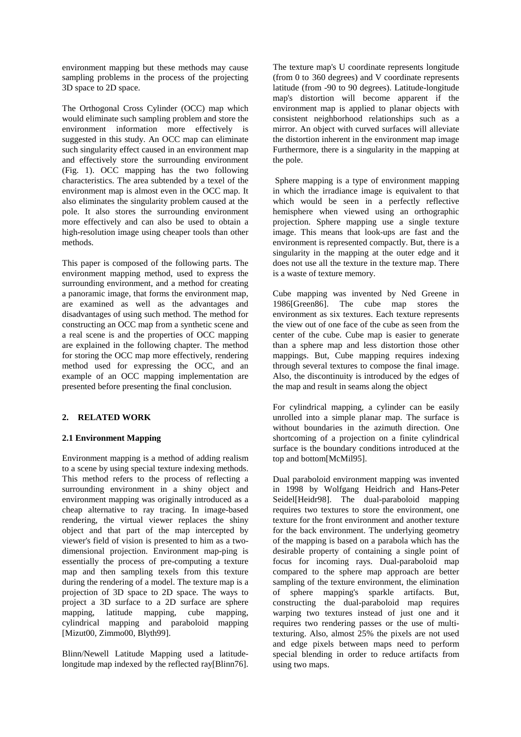environment mapping but these methods may cause sampling problems in the process of the projecting 3D space to 2D space.

The Orthogonal Cross Cylinder (OCC) map which would eliminate such sampling problem and store the environment information more effectively is suggested in this study. An OCC map can eliminate such singularity effect caused in an environment map and effectively store the surrounding environment (Fig. 1). OCC mapping has the two following characteristics. The area subtended by a texel of the environment map is almost even in the OCC map. It also eliminates the singularity problem caused at the pole. It also stores the surrounding environment more effectively and can also be used to obtain a high-resolution image using cheaper tools than other methods.

This paper is composed of the following parts. The environment mapping method, used to express the surrounding environment, and a method for creating a panoramic image, that forms the environment map, are examined as well as the advantages and disadvantages of using such method. The method for constructing an OCC map from a synthetic scene and a real scene is and the properties of OCC mapping are explained in the following chapter. The method for storing the OCC map more effectively, rendering method used for expressing the OCC, and an example of an OCC mapping implementation are presented before presenting the final conclusion.

# **2. RELATED WORK**

# **2.1 Environment Mapping**

Environment mapping is a method of adding realism to a scene by using special texture indexing methods. This method refers to the process of reflecting a surrounding environment in a shiny object and environment mapping was originally introduced as a cheap alternative to ray tracing. In image-based rendering, the virtual viewer replaces the shiny object and that part of the map intercepted by viewer's field of vision is presented to him as a twodimensional projection. Environment map-ping is essentially the process of pre-computing a texture map and then sampling texels from this texture during the rendering of a model. The texture map is a projection of 3D space to 2D space. The ways to project a 3D surface to a 2D surface are sphere mapping, latitude mapping, cube mapping, cylindrical mapping and paraboloid mapping [Mizut00, Zimmo00, Blyth99].

Blinn/Newell Latitude Mapping used a latitudelongitude map indexed by the reflected ray[Blinn76]. The texture map's U coordinate represents longitude (from 0 to 360 degrees) and V coordinate represents latitude (from -90 to 90 degrees). Latitude-longitude map's distortion will become apparent if the environment map is applied to planar objects with consistent neighborhood relationships such as a mirror. An object with curved surfaces will alleviate the distortion inherent in the environment map image Furthermore, there is a singularity in the mapping at the pole.

 Sphere mapping is a type of environment mapping in which the irradiance image is equivalent to that which would be seen in a perfectly reflective hemisphere when viewed using an orthographic projection. Sphere mapping use a single texture image. This means that look-ups are fast and the environment is represented compactly. But, there is a singularity in the mapping at the outer edge and it does not use all the texture in the texture map. There is a waste of texture memory.

Cube mapping was invented by Ned Greene in 1986[Green86]. The cube map stores the environment as six textures. Each texture represents the view out of one face of the cube as seen from the center of the cube. Cube map is easier to generate than a sphere map and less distortion those other mappings. But, Cube mapping requires indexing through several textures to compose the final image. Also, the discontinuity is introduced by the edges of the map and result in seams along the object

For cylindrical mapping, a cylinder can be easily unrolled into a simple planar map. The surface is without boundaries in the azimuth direction. One shortcoming of a projection on a finite cylindrical surface is the boundary conditions introduced at the top and bottom[McMil95].

Dual paraboloid environment mapping was invented in 1998 by Wolfgang Heidrich and Hans-Peter Seidel[Heidr98]. The dual-paraboloid mapping requires two textures to store the environment, one texture for the front environment and another texture for the back environment. The underlying geometry of the mapping is based on a parabola which has the desirable property of containing a single point of focus for incoming rays. Dual-paraboloid map compared to the sphere map approach are better sampling of the texture environment, the elimination of sphere mapping's sparkle artifacts. But, constructing the dual-paraboloid map requires warping two textures instead of just one and it requires two rendering passes or the use of multitexturing. Also, almost 25% the pixels are not used and edge pixels between maps need to perform special blending in order to reduce artifacts from using two maps.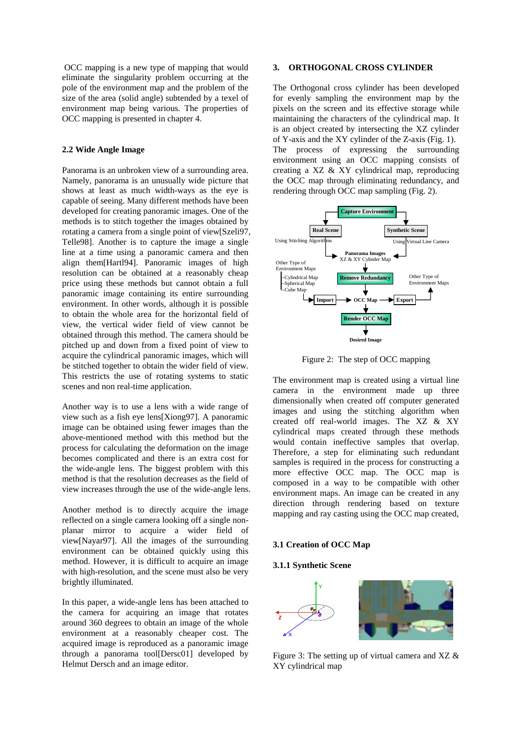OCC mapping is a new type of mapping that would eliminate the singularity problem occurring at the pole of the environment map and the problem of the size of the area (solid angle) subtended by a texel of environment map being various. The properties of OCC mapping is presented in chapter 4.

# **2.2 Wide Angle Image**

Panorama is an unbroken view of a surrounding area. Namely, panorama is an unusually wide picture that shows at least as much width-ways as the eye is capable of seeing. Many different methods have been developed for creating panoramic images. One of the methods is to stitch together the images obtained by rotating a camera from a single point of view[Szeli97, Telle98]. Another is to capture the image a single line at a time using a panoramic camera and then align them[Hartl94]. Panoramic images of high resolution can be obtained at a reasonably cheap price using these methods but cannot obtain a full panoramic image containing its entire surrounding environment. In other words, although it is possible to obtain the whole area for the horizontal field of view, the vertical wider field of view cannot be obtained through this method. The camera should be pitched up and down from a fixed point of view to acquire the cylindrical panoramic images, which will be stitched together to obtain the wider field of view. This restricts the use of rotating systems to static scenes and non real-time application.

Another way is to use a lens with a wide range of view such as a fish eye lens[Xiong97]. A panoramic image can be obtained using fewer images than the above-mentioned method with this method but the process for calculating the deformation on the image becomes complicated and there is an extra cost for the wide-angle lens. The biggest problem with this method is that the resolution decreases as the field of view increases through the use of the wide-angle lens.

Another method is to directly acquire the image reflected on a single camera looking off a single nonplanar mirror to acquire a wider field of view[Nayar97]. All the images of the surrounding environment can be obtained quickly using this method. However, it is difficult to acquire an image with high-resolution, and the scene must also be very brightly illuminated.

In this paper, a wide-angle lens has been attached to the camera for acquiring an image that rotates around 360 degrees to obtain an image of the whole environment at a reasonably cheaper cost. The acquired image is reproduced as a panoramic image through a panorama tool[Dersc01] developed by Helmut Dersch and an image editor.

# **3. ORTHOGONAL CROSS CYLINDER**

The Orthogonal cross cylinder has been developed for evenly sampling the environment map by the pixels on the screen and its effective storage while maintaining the characters of the cylindrical map. It is an object created by intersecting the XZ cylinder of Y-axis and the XY cylinder of the Z-axis (Fig. 1). The process of expressing the surrounding environment using an OCC mapping consists of creating a XZ & XY cylindrical map, reproducing the OCC map through eliminating redundancy, and rendering through OCC map sampling (Fig. 2).



Figure 2: The step of OCC mapping

The environment map is created using a virtual line camera in the environment made up three dimensionally when created off computer generated images and using the stitching algorithm when created off real-world images. The XZ & XY cylindrical maps created through these methods would contain ineffective samples that overlap. Therefore, a step for eliminating such redundant samples is required in the process for constructing a more effective OCC map. The OCC map is composed in a way to be compatible with other environment maps. An image can be created in any direction through rendering based on texture mapping and ray casting using the OCC map created,

# **3.1 Creation of OCC Map**

#### **3.1.1 Synthetic Scene**



Figure 3: The setting up of virtual camera and XZ & XY cylindrical map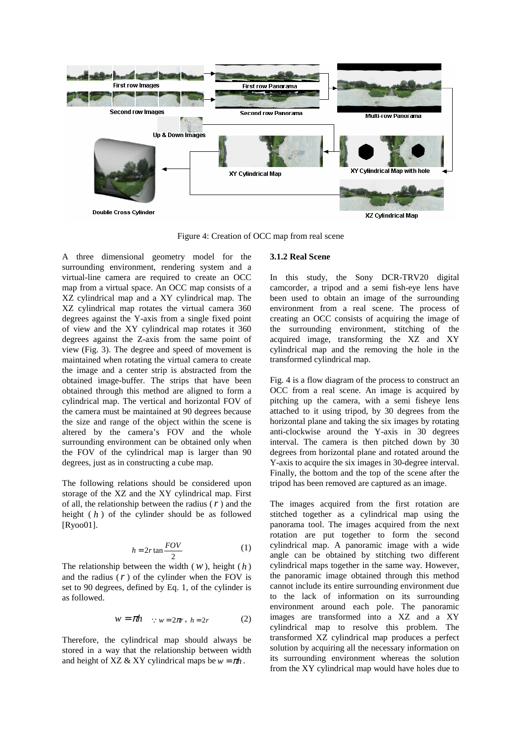

Figure 4: Creation of OCC map from real scene

A three dimensional geometry model for the surrounding environment, rendering system and a virtual-line camera are required to create an OCC map from a virtual space. An OCC map consists of a XZ cylindrical map and a XY cylindrical map. The XZ cylindrical map rotates the virtual camera 360 degrees against the Y-axis from a single fixed point of view and the XY cylindrical map rotates it 360 degrees against the Z-axis from the same point of view (Fig. 3). The degree and speed of movement is maintained when rotating the virtual camera to create the image and a center strip is abstracted from the obtained image-buffer. The strips that have been obtained through this method are aligned to form a cylindrical map. The vertical and horizontal FOV of the camera must be maintained at 90 degrees because the size and range of the object within the scene is altered by the camera's FOV and the whole surrounding environment can be obtained only when the FOV of the cylindrical map is larger than 90 degrees, just as in constructing a cube map.

The following relations should be considered upon storage of the XZ and the XY cylindrical map. First of all, the relationship between the radius (*r* ) and the height ( *h* ) of the cylinder should be as followed [Ryoo01].

$$
h = 2r \tan \frac{FOV}{2} \tag{1}
$$

The relationship between the width  $(w)$ , height  $(h)$ and the radius  $(r)$  of the cylinder when the FOV is set to 90 degrees, defined by Eq. 1, of the cylinder is as followed.

$$
w = \pi h \quad \because w = 2\pi r, \ h = 2r \tag{2}
$$

Therefore, the cylindrical map should always be stored in a way that the relationship between width and height of XZ & XY cylindrical maps be  $w = \pi h$ .

#### **3.1.2 Real Scene**

In this study, the Sony DCR-TRV20 digital camcorder, a tripod and a semi fish-eye lens have been used to obtain an image of the surrounding environment from a real scene. The process of creating an OCC consists of acquiring the image of the surrounding environment, stitching of the acquired image, transforming the XZ and XY cylindrical map and the removing the hole in the transformed cylindrical map.

Fig. 4 is a flow diagram of the process to construct an OCC from a real scene. An image is acquired by pitching up the camera, with a semi fisheye lens attached to it using tripod, by 30 degrees from the horizontal plane and taking the six images by rotating anti-clockwise around the Y-axis in 30 degrees interval. The camera is then pitched down by 30 degrees from horizontal plane and rotated around the Y-axis to acquire the six images in 30-degree interval. Finally, the bottom and the top of the scene after the tripod has been removed are captured as an image.

The images acquired from the first rotation are stitched together as a cylindrical map using the panorama tool. The images acquired from the next rotation are put together to form the second cylindrical map. A panoramic image with a wide angle can be obtained by stitching two different cylindrical maps together in the same way. However, the panoramic image obtained through this method cannot include its entire surrounding environment due to the lack of information on its surrounding environment around each pole. The panoramic images are transformed into a XZ and a XY cylindrical map to resolve this problem. The transformed XZ cylindrical map produces a perfect solution by acquiring all the necessary information on its surrounding environment whereas the solution from the XY cylindrical map would have holes due to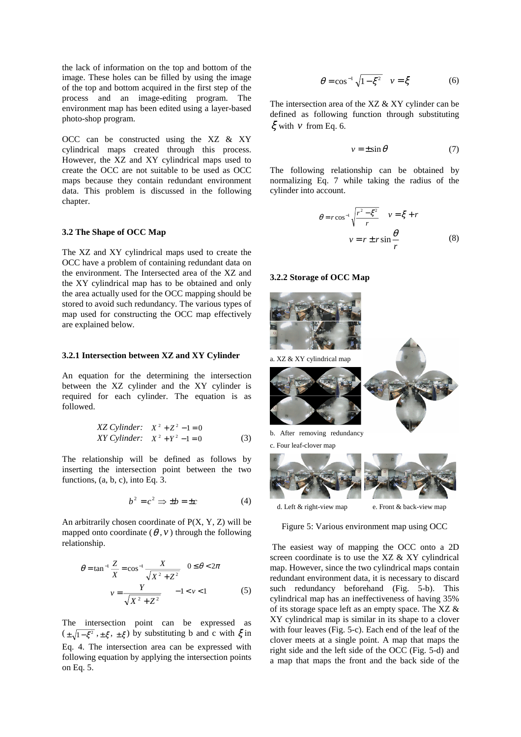the lack of information on the top and bottom of the image. These holes can be filled by using the image of the top and bottom acquired in the first step of the process and an image-editing program. The environment map has been edited using a layer-based photo-shop program.

OCC can be constructed using the XZ & XY cylindrical maps created through this process. However, the XZ and XY cylindrical maps used to create the OCC are not suitable to be used as OCC maps because they contain redundant environment data. This problem is discussed in the following chapter.

#### **3.2 The Shape of OCC Map**

The XZ and XY cylindrical maps used to create the OCC have a problem of containing redundant data on the environment. The Intersected area of the XZ and the XY cylindrical map has to be obtained and only the area actually used for the OCC mapping should be stored to avoid such redundancy. The various types of map used for constructing the OCC map effectively are explained below.

#### **3.2.1 Intersection between XZ and XY Cylinder**

An equation for the determining the intersection between the XZ cylinder and the XY cylinder is required for each cylinder. The equation is as followed.

XZ Cylinder: 
$$
X^2 + Z^2 - 1 = 0
$$
  
XY Cylinder:  $X^2 + Y^2 - 1 = 0$  (3)

The relationship will be defined as follows by inserting the intersection point between the two functions, (a, b, c), into Eq. 3.

$$
b^2 = c^2 \Rightarrow \pm b = \pm c \tag{4}
$$

An arbitrarily chosen coordinate of  $P(X, Y, Z)$  will be mapped onto coordinate  $(\theta, v)$  through the following relationship.

$$
\theta = \tan^{-1} \frac{Z}{X} = \cos^{-1} \frac{X}{\sqrt{X^2 + Z^2}} \quad 0 \le \theta < 2\pi
$$
  

$$
v = \frac{Y}{\sqrt{X^2 + Z^2}} \quad -1 < v < 1 \tag{5}
$$

The intersection point can be expressed as  $(\pm \sqrt{1-\xi^2}, \pm \xi, \pm \xi)$  by substituting b and c with  $\xi$  in Eq. 4. The intersection area can be expressed with following equation by applying the intersection points on Eq. 5.

$$
\theta = \cos^{-1} \sqrt{1 - \xi^2} \quad v = \xi \tag{6}
$$

The intersection area of the XZ & XY cylinder can be defined as following function through substituting  $\xi$  with  $\nu$  from Eq. 6.

$$
v = \pm \sin \theta \tag{7}
$$

The following relationship can be obtained by normalizing Eq. 7 while taking the radius of the cylinder into account.

$$
\theta = r \cos^{-1} \sqrt{\frac{r^2 - \xi^2}{r}} \quad v = \xi + r
$$

$$
v = r \pm r \sin \frac{\theta}{r}
$$
(8)

#### **3.2.2 Storage of OCC Map**



Figure 5: Various environment map using OCC

 The easiest way of mapping the OCC onto a 2D screen coordinate is to use the XZ & XY cylindrical map. However, since the two cylindrical maps contain redundant environment data, it is necessary to discard such redundancy beforehand (Fig. 5-b). This cylindrical map has an ineffectiveness of having 35% of its storage space left as an empty space. The XZ & XY cylindrical map is similar in its shape to a clover with four leaves (Fig. 5-c). Each end of the leaf of the clover meets at a single point. A map that maps the right side and the left side of the OCC (Fig. 5-d) and a map that maps the front and the back side of the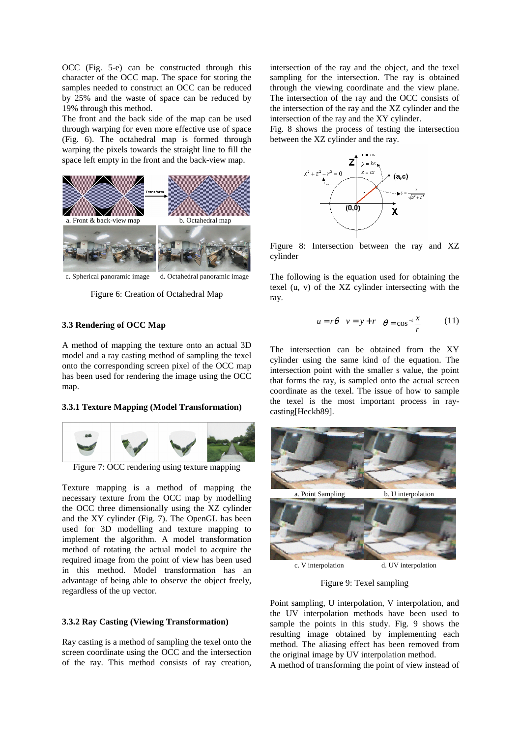OCC (Fig. 5-e) can be constructed through this character of the OCC map. The space for storing the samples needed to construct an OCC can be reduced by 25% and the waste of space can be reduced by 19% through this method.

The front and the back side of the map can be used through warping for even more effective use of space (Fig. 6). The octahedral map is formed through warping the pixels towards the straight line to fill the space left empty in the front and the back-view map.



Figure 6: Creation of Octahedral Map

# **3.3 Rendering of OCC Map**

A method of mapping the texture onto an actual 3D model and a ray casting method of sampling the texel onto the corresponding screen pixel of the OCC map has been used for rendering the image using the OCC map.

#### **3.3.1 Texture Mapping (Model Transformation)**



Figure 7: OCC rendering using texture mapping

Texture mapping is a method of mapping the necessary texture from the OCC map by modelling the OCC three dimensionally using the XZ cylinder and the XY cylinder (Fig. 7). The OpenGL has been used for 3D modelling and texture mapping to implement the algorithm. A model transformation method of rotating the actual model to acquire the required image from the point of view has been used in this method. Model transformation has an advantage of being able to observe the object freely, regardless of the up vector.

# **3.3.2 Ray Casting (Viewing Transformation)**

Ray casting is a method of sampling the texel onto the screen coordinate using the OCC and the intersection of the ray. This method consists of ray creation, intersection of the ray and the object, and the texel sampling for the intersection. The ray is obtained through the viewing coordinate and the view plane. The intersection of the ray and the OCC consists of the intersection of the ray and the XZ cylinder and the intersection of the ray and the XY cylinder.

Fig. 8 shows the process of testing the intersection between the XZ cylinder and the ray.



Figure 8: Intersection between the ray and XZ cylinder

The following is the equation used for obtaining the texel (u, v) of the XZ cylinder intersecting with the ray.

$$
u = r\theta \quad v = y + r \quad \theta = \cos^{-1}\frac{x}{r} \tag{11}
$$

The intersection can be obtained from the XY cylinder using the same kind of the equation. The intersection point with the smaller s value, the point that forms the ray, is sampled onto the actual screen coordinate as the texel. The issue of how to sample the texel is the most important process in raycasting[Heckb89].



Figure 9: Texel sampling

Point sampling, U interpolation, V interpolation, and the UV interpolation methods have been used to sample the points in this study. Fig. 9 shows the resulting image obtained by implementing each method. The aliasing effect has been removed from the original image by UV interpolation method.

A method of transforming the point of view instead of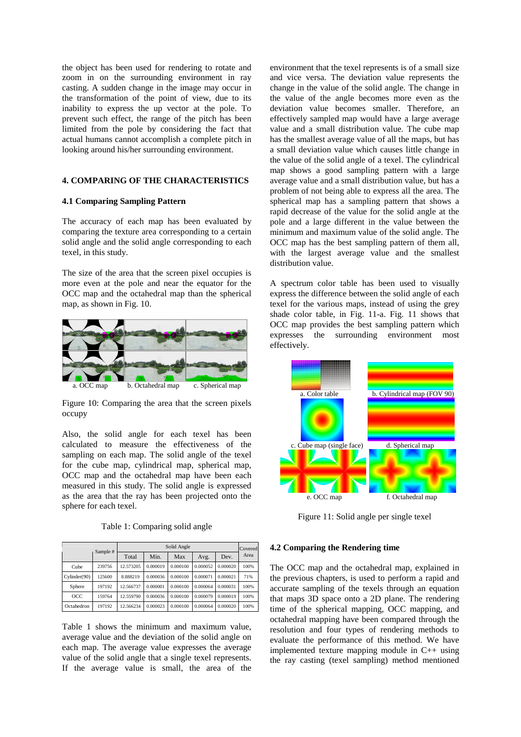the object has been used for rendering to rotate and zoom in on the surrounding environment in ray casting. A sudden change in the image may occur in the transformation of the point of view, due to its inability to express the up vector at the pole. To prevent such effect, the range of the pitch has been limited from the pole by considering the fact that actual humans cannot accomplish a complete pitch in looking around his/her surrounding environment.

# **4. COMPARING OF THE CHARACTERISTICS**

# **4.1 Comparing Sampling Pattern**

The accuracy of each map has been evaluated by comparing the texture area corresponding to a certain solid angle and the solid angle corresponding to each texel, in this study.

The size of the area that the screen pixel occupies is more even at the pole and near the equator for the OCC map and the octahedral map than the spherical map, as shown in Fig. 10.



Figure 10: Comparing the area that the screen pixels occupy

Also, the solid angle for each texel has been calculated to measure the effectiveness of the sampling on each map. The solid angle of the texel for the cube map, cylindrical map, spherical map, OCC map and the octahedral map have been each measured in this study. The solid angle is expressed as the area that the ray has been projected onto the sphere for each texel.

|  | Table 1: Comparing solid angle |  |
|--|--------------------------------|--|
|  |                                |  |

|              | Sample # | Solid Angle |          |          |          |          | Covered |
|--------------|----------|-------------|----------|----------|----------|----------|---------|
|              |          | Total       | Min.     | Max      | Avg.     | Dev.     | Area    |
| Cube         | 239756   | 12.573205   | 0.000019 | 0.000100 | 0.000052 | 0.000020 | 100%    |
| Cylinder(90) | 125600   | 8.888219    | 0.000036 | 0.000100 | 0.000071 | 0.000021 | 71%     |
| Sphere       | 197192   | 12.566737   | 0.000001 | 0.000100 | 0.000064 | 0.000031 | 100%    |
| OCC          | 159764   | 12.559790   | 0.000036 | 0.000100 | 0.000079 | 0.000019 | 100%    |
| Octahedron   | 197192   | 12.566234   | 0.000023 | 0.000100 | 0.000064 | 0.000020 | 100%    |

Table 1 shows the minimum and maximum value, average value and the deviation of the solid angle on each map. The average value expresses the average value of the solid angle that a single texel represents. If the average value is small, the area of the

environment that the texel represents is of a small size and vice versa. The deviation value represents the change in the value of the solid angle. The change in the value of the angle becomes more even as the deviation value becomes smaller. Therefore, an effectively sampled map would have a large average value and a small distribution value. The cube map has the smallest average value of all the maps, but has a small deviation value which causes little change in the value of the solid angle of a texel. The cylindrical map shows a good sampling pattern with a large average value and a small distribution value, but has a problem of not being able to express all the area. The spherical map has a sampling pattern that shows a rapid decrease of the value for the solid angle at the pole and a large different in the value between the minimum and maximum value of the solid angle. The OCC map has the best sampling pattern of them all, with the largest average value and the smallest distribution value.

A spectrum color table has been used to visually express the difference between the solid angle of each texel for the various maps, instead of using the grey shade color table, in Fig. 11-a. Fig. 11 shows that OCC map provides the best sampling pattern which expresses the surrounding environment most effectively.



Figure 11: Solid angle per single texel

# **4.2 Comparing the Rendering time**

The OCC map and the octahedral map, explained in the previous chapters, is used to perform a rapid and accurate sampling of the texels through an equation that maps 3D space onto a 2D plane. The rendering time of the spherical mapping, OCC mapping, and octahedral mapping have been compared through the resolution and four types of rendering methods to evaluate the performance of this method. We have implemented texture mapping module in C++ using the ray casting (texel sampling) method mentioned